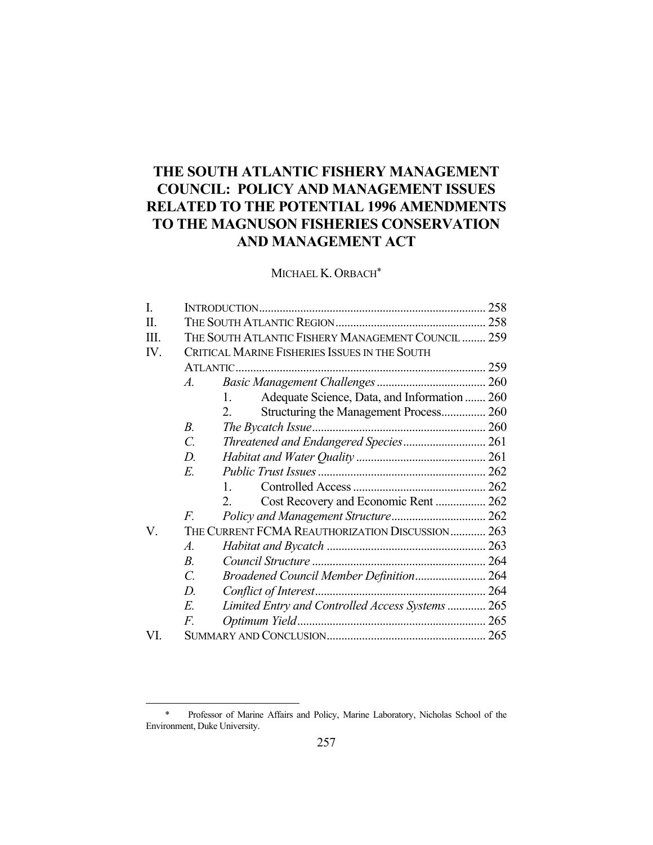# **THE SOUTH ATLANTIC FISHERY MANAGEMENT COUNCIL: POLICY AND MANAGEMENT ISSUES RELATED TO THE POTENTIAL 1996 AMENDMENTS TO THE MAGNUSON FISHERIES CONSERVATION AND MANAGEMENT ACT**

MICHAEL K. ORBACH\*

| I.   |                                                 |                                                         | 258 |
|------|-------------------------------------------------|---------------------------------------------------------|-----|
| Π.   |                                                 |                                                         |     |
| III. |                                                 | THE SOUTH ATLANTIC FISHERY MANAGEMENT COUNCIL  259      |     |
| IV.  | CRITICAL MARINE FISHERIES ISSUES IN THE SOUTH   |                                                         |     |
|      |                                                 |                                                         |     |
|      | $\mathcal{A}_{\cdot}$                           |                                                         |     |
|      |                                                 | Adequate Science, Data, and Information  260<br>$1_{-}$ |     |
|      |                                                 | Structuring the Management Process 260<br>2.            |     |
|      | $B_{\cdot}$                                     |                                                         |     |
|      | $\overline{C}$ .                                | Threatened and Endangered Species 261                   |     |
|      | D.                                              |                                                         |     |
|      | E.                                              |                                                         |     |
|      |                                                 | $\mathbf{1}$ .                                          |     |
|      |                                                 | Cost Recovery and Economic Rent  262<br>2.              |     |
|      | $\overline{F}$                                  |                                                         |     |
| V.   | THE CURRENT FCMA REAUTHORIZATION DISCUSSION 263 |                                                         |     |
|      | A.                                              |                                                         |     |
|      | $B_{\cdot}$                                     |                                                         |     |
|      | $\mathcal{C}$ .                                 | Broadened Council Member Definition 264                 |     |
|      | D.                                              |                                                         |     |
|      | E.                                              | Limited Entry and Controlled Access Systems  265        |     |
|      | F.                                              |                                                         |     |
| VI.  |                                                 |                                                         |     |

<u>.</u>

 <sup>\*</sup> Professor of Marine Affairs and Policy, Marine Laboratory, Nicholas School of the Environment, Duke University.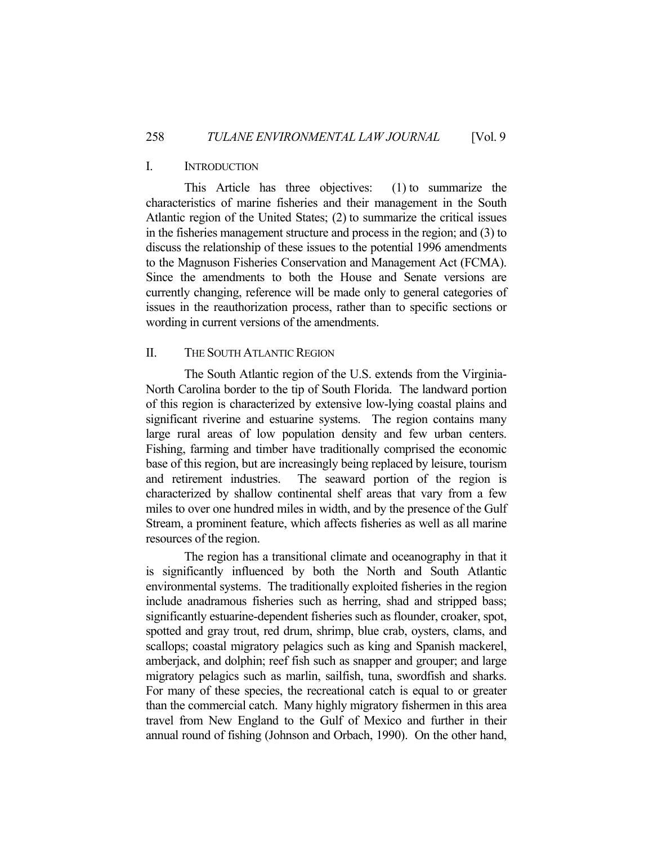## I. INTRODUCTION

 This Article has three objectives: (1) to summarize the characteristics of marine fisheries and their management in the South Atlantic region of the United States; (2) to summarize the critical issues in the fisheries management structure and process in the region; and (3) to discuss the relationship of these issues to the potential 1996 amendments to the Magnuson Fisheries Conservation and Management Act (FCMA). Since the amendments to both the House and Senate versions are currently changing, reference will be made only to general categories of issues in the reauthorization process, rather than to specific sections or wording in current versions of the amendments.

## II. THE SOUTH ATLANTIC REGION

 The South Atlantic region of the U.S. extends from the Virginia-North Carolina border to the tip of South Florida. The landward portion of this region is characterized by extensive low-lying coastal plains and significant riverine and estuarine systems. The region contains many large rural areas of low population density and few urban centers. Fishing, farming and timber have traditionally comprised the economic base of this region, but are increasingly being replaced by leisure, tourism and retirement industries. The seaward portion of the region is characterized by shallow continental shelf areas that vary from a few miles to over one hundred miles in width, and by the presence of the Gulf Stream, a prominent feature, which affects fisheries as well as all marine resources of the region.

 The region has a transitional climate and oceanography in that it is significantly influenced by both the North and South Atlantic environmental systems. The traditionally exploited fisheries in the region include anadramous fisheries such as herring, shad and stripped bass; significantly estuarine-dependent fisheries such as flounder, croaker, spot, spotted and gray trout, red drum, shrimp, blue crab, oysters, clams, and scallops; coastal migratory pelagics such as king and Spanish mackerel, amberjack, and dolphin; reef fish such as snapper and grouper; and large migratory pelagics such as marlin, sailfish, tuna, swordfish and sharks. For many of these species, the recreational catch is equal to or greater than the commercial catch. Many highly migratory fishermen in this area travel from New England to the Gulf of Mexico and further in their annual round of fishing (Johnson and Orbach, 1990). On the other hand,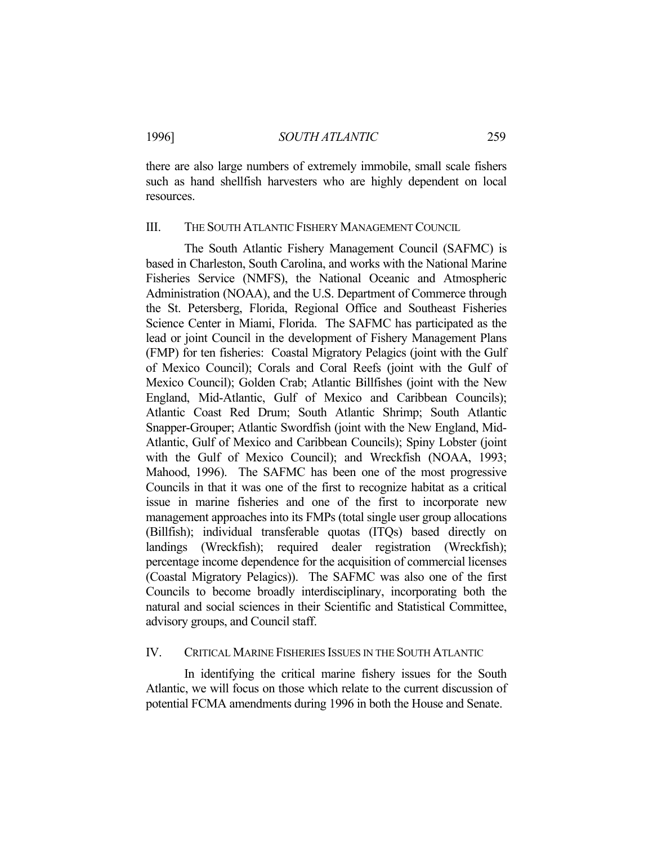there are also large numbers of extremely immobile, small scale fishers such as hand shellfish harvesters who are highly dependent on local resources.

## III. THE SOUTH ATLANTIC FISHERY MANAGEMENT COUNCIL

 The South Atlantic Fishery Management Council (SAFMC) is based in Charleston, South Carolina, and works with the National Marine Fisheries Service (NMFS), the National Oceanic and Atmospheric Administration (NOAA), and the U.S. Department of Commerce through the St. Petersberg, Florida, Regional Office and Southeast Fisheries Science Center in Miami, Florida. The SAFMC has participated as the lead or joint Council in the development of Fishery Management Plans (FMP) for ten fisheries: Coastal Migratory Pelagics (joint with the Gulf of Mexico Council); Corals and Coral Reefs (joint with the Gulf of Mexico Council); Golden Crab; Atlantic Billfishes (joint with the New England, Mid-Atlantic, Gulf of Mexico and Caribbean Councils); Atlantic Coast Red Drum; South Atlantic Shrimp; South Atlantic Snapper-Grouper; Atlantic Swordfish (joint with the New England, Mid-Atlantic, Gulf of Mexico and Caribbean Councils); Spiny Lobster (joint with the Gulf of Mexico Council); and Wreckfish (NOAA, 1993; Mahood, 1996). The SAFMC has been one of the most progressive Councils in that it was one of the first to recognize habitat as a critical issue in marine fisheries and one of the first to incorporate new management approaches into its FMPs (total single user group allocations (Billfish); individual transferable quotas (ITQs) based directly on landings (Wreckfish); required dealer registration (Wreckfish); percentage income dependence for the acquisition of commercial licenses (Coastal Migratory Pelagics)). The SAFMC was also one of the first Councils to become broadly interdisciplinary, incorporating both the natural and social sciences in their Scientific and Statistical Committee, advisory groups, and Council staff.

## IV. CRITICAL MARINE FISHERIES ISSUES IN THE SOUTH ATLANTIC

 In identifying the critical marine fishery issues for the South Atlantic, we will focus on those which relate to the current discussion of potential FCMA amendments during 1996 in both the House and Senate.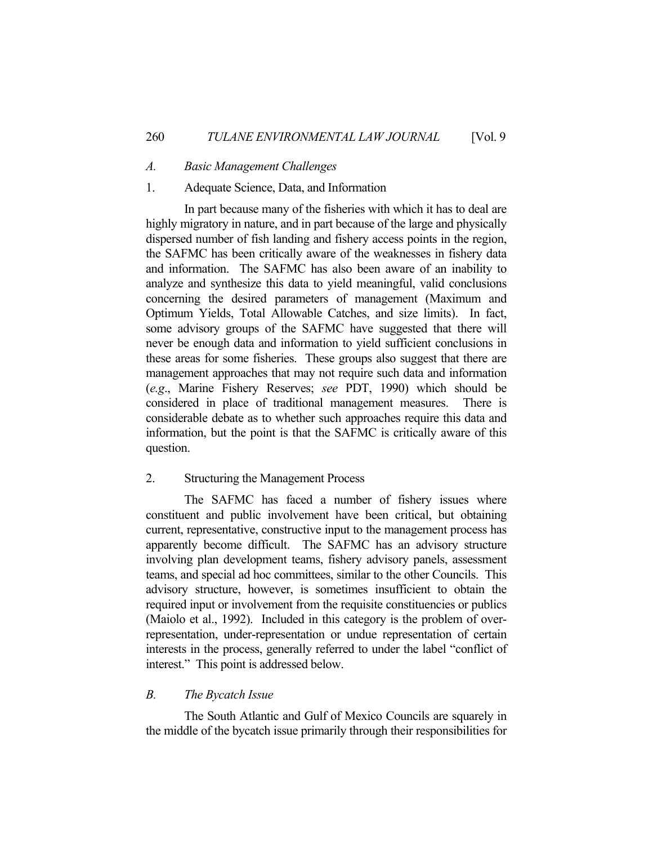## *A. Basic Management Challenges*

## 1. Adequate Science, Data, and Information

 In part because many of the fisheries with which it has to deal are highly migratory in nature, and in part because of the large and physically dispersed number of fish landing and fishery access points in the region, the SAFMC has been critically aware of the weaknesses in fishery data and information. The SAFMC has also been aware of an inability to analyze and synthesize this data to yield meaningful, valid conclusions concerning the desired parameters of management (Maximum and Optimum Yields, Total Allowable Catches, and size limits). In fact, some advisory groups of the SAFMC have suggested that there will never be enough data and information to yield sufficient conclusions in these areas for some fisheries. These groups also suggest that there are management approaches that may not require such data and information (*e.g*., Marine Fishery Reserves; *see* PDT, 1990) which should be considered in place of traditional management measures. There is considerable debate as to whether such approaches require this data and information, but the point is that the SAFMC is critically aware of this question.

## 2. Structuring the Management Process

 The SAFMC has faced a number of fishery issues where constituent and public involvement have been critical, but obtaining current, representative, constructive input to the management process has apparently become difficult. The SAFMC has an advisory structure involving plan development teams, fishery advisory panels, assessment teams, and special ad hoc committees, similar to the other Councils. This advisory structure, however, is sometimes insufficient to obtain the required input or involvement from the requisite constituencies or publics (Maiolo et al., 1992). Included in this category is the problem of overrepresentation, under-representation or undue representation of certain interests in the process, generally referred to under the label "conflict of interest." This point is addressed below.

#### *B. The Bycatch Issue*

 The South Atlantic and Gulf of Mexico Councils are squarely in the middle of the bycatch issue primarily through their responsibilities for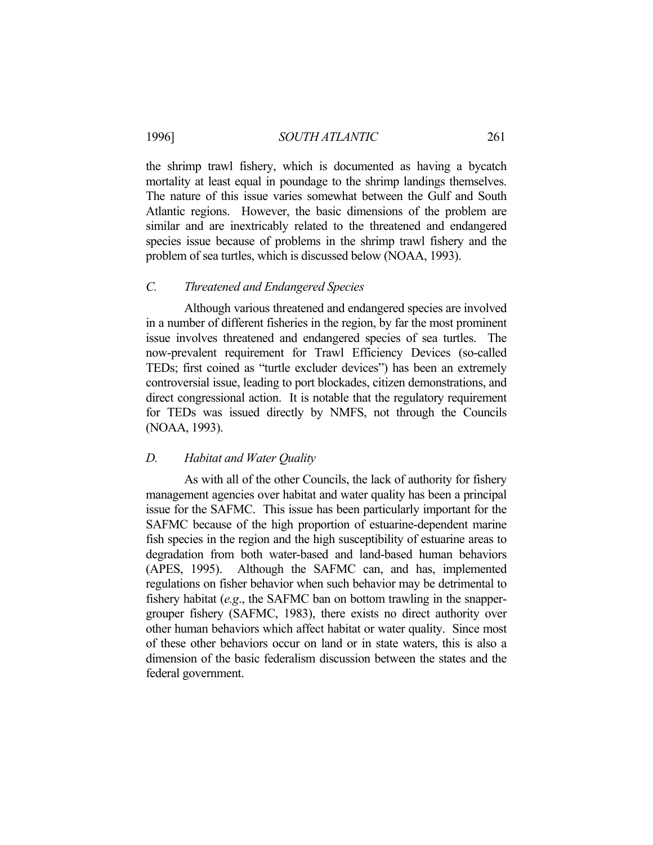the shrimp trawl fishery, which is documented as having a bycatch mortality at least equal in poundage to the shrimp landings themselves. The nature of this issue varies somewhat between the Gulf and South Atlantic regions. However, the basic dimensions of the problem are similar and are inextricably related to the threatened and endangered species issue because of problems in the shrimp trawl fishery and the problem of sea turtles, which is discussed below (NOAA, 1993).

## *C. Threatened and Endangered Species*

 Although various threatened and endangered species are involved in a number of different fisheries in the region, by far the most prominent issue involves threatened and endangered species of sea turtles. The now-prevalent requirement for Trawl Efficiency Devices (so-called TEDs; first coined as "turtle excluder devices") has been an extremely controversial issue, leading to port blockades, citizen demonstrations, and direct congressional action. It is notable that the regulatory requirement for TEDs was issued directly by NMFS, not through the Councils (NOAA, 1993).

## *D. Habitat and Water Quality*

 As with all of the other Councils, the lack of authority for fishery management agencies over habitat and water quality has been a principal issue for the SAFMC. This issue has been particularly important for the SAFMC because of the high proportion of estuarine-dependent marine fish species in the region and the high susceptibility of estuarine areas to degradation from both water-based and land-based human behaviors (APES, 1995). Although the SAFMC can, and has, implemented regulations on fisher behavior when such behavior may be detrimental to fishery habitat (*e.g*., the SAFMC ban on bottom trawling in the snappergrouper fishery (SAFMC, 1983), there exists no direct authority over other human behaviors which affect habitat or water quality. Since most of these other behaviors occur on land or in state waters, this is also a dimension of the basic federalism discussion between the states and the federal government.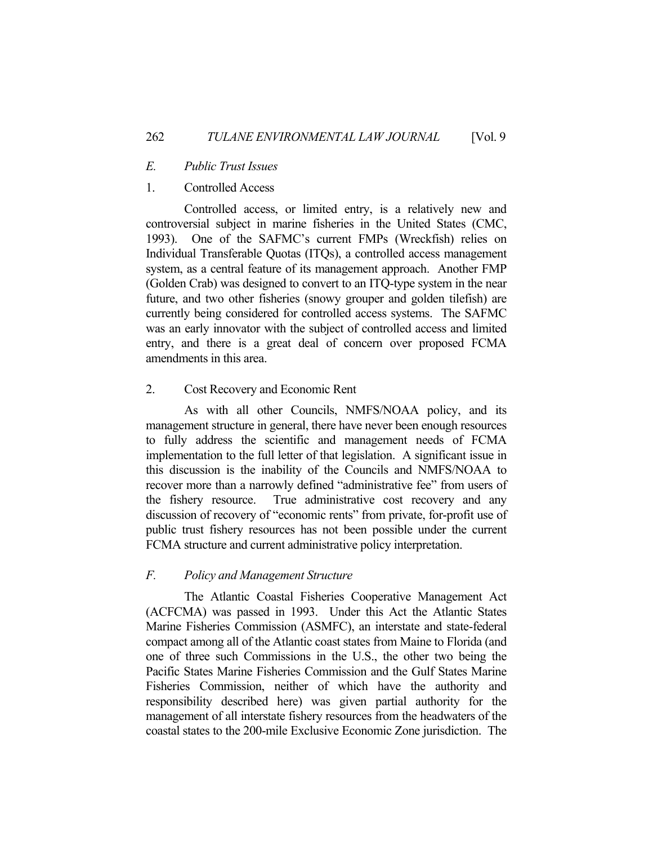## *E. Public Trust Issues*

## 1. Controlled Access

 Controlled access, or limited entry, is a relatively new and controversial subject in marine fisheries in the United States (CMC, 1993). One of the SAFMC's current FMPs (Wreckfish) relies on Individual Transferable Quotas (ITQs), a controlled access management system, as a central feature of its management approach. Another FMP (Golden Crab) was designed to convert to an ITQ-type system in the near future, and two other fisheries (snowy grouper and golden tilefish) are currently being considered for controlled access systems. The SAFMC was an early innovator with the subject of controlled access and limited entry, and there is a great deal of concern over proposed FCMA amendments in this area.

#### 2. Cost Recovery and Economic Rent

 As with all other Councils, NMFS/NOAA policy, and its management structure in general, there have never been enough resources to fully address the scientific and management needs of FCMA implementation to the full letter of that legislation. A significant issue in this discussion is the inability of the Councils and NMFS/NOAA to recover more than a narrowly defined "administrative fee" from users of the fishery resource. True administrative cost recovery and any discussion of recovery of "economic rents" from private, for-profit use of public trust fishery resources has not been possible under the current FCMA structure and current administrative policy interpretation.

## *F. Policy and Management Structure*

 The Atlantic Coastal Fisheries Cooperative Management Act (ACFCMA) was passed in 1993. Under this Act the Atlantic States Marine Fisheries Commission (ASMFC), an interstate and state-federal compact among all of the Atlantic coast states from Maine to Florida (and one of three such Commissions in the U.S., the other two being the Pacific States Marine Fisheries Commission and the Gulf States Marine Fisheries Commission, neither of which have the authority and responsibility described here) was given partial authority for the management of all interstate fishery resources from the headwaters of the coastal states to the 200-mile Exclusive Economic Zone jurisdiction. The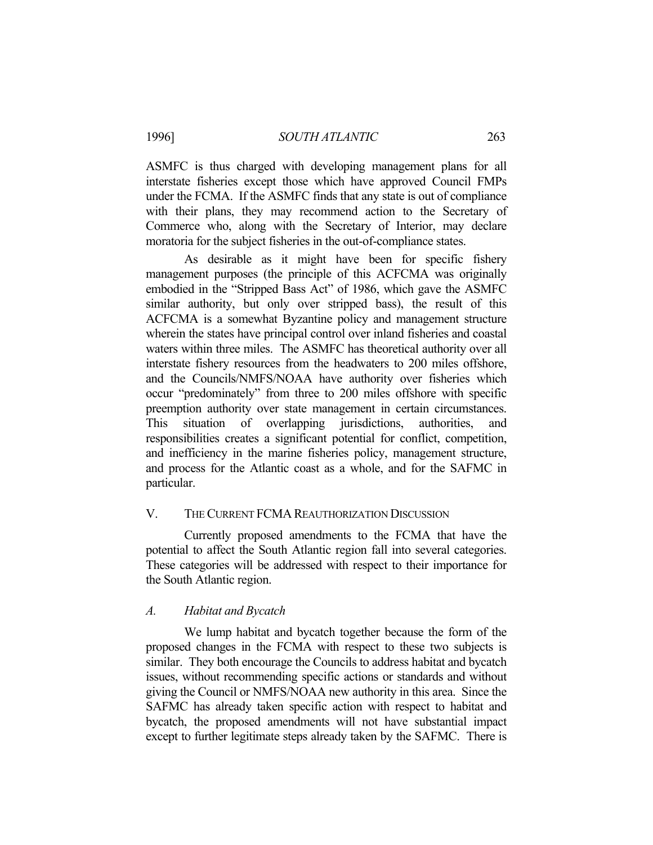#### 1996] *SOUTH ATLANTIC* 263

ASMFC is thus charged with developing management plans for all interstate fisheries except those which have approved Council FMPs under the FCMA. If the ASMFC finds that any state is out of compliance with their plans, they may recommend action to the Secretary of Commerce who, along with the Secretary of Interior, may declare moratoria for the subject fisheries in the out-of-compliance states.

 As desirable as it might have been for specific fishery management purposes (the principle of this ACFCMA was originally embodied in the "Stripped Bass Act" of 1986, which gave the ASMFC similar authority, but only over stripped bass), the result of this ACFCMA is a somewhat Byzantine policy and management structure wherein the states have principal control over inland fisheries and coastal waters within three miles. The ASMFC has theoretical authority over all interstate fishery resources from the headwaters to 200 miles offshore, and the Councils/NMFS/NOAA have authority over fisheries which occur "predominately" from three to 200 miles offshore with specific preemption authority over state management in certain circumstances. This situation of overlapping jurisdictions, authorities, and responsibilities creates a significant potential for conflict, competition, and inefficiency in the marine fisheries policy, management structure, and process for the Atlantic coast as a whole, and for the SAFMC in particular.

#### V. THE CURRENT FCMA REAUTHORIZATION DISCUSSION

 Currently proposed amendments to the FCMA that have the potential to affect the South Atlantic region fall into several categories. These categories will be addressed with respect to their importance for the South Atlantic region.

## *A. Habitat and Bycatch*

 We lump habitat and bycatch together because the form of the proposed changes in the FCMA with respect to these two subjects is similar. They both encourage the Councils to address habitat and bycatch issues, without recommending specific actions or standards and without giving the Council or NMFS/NOAA new authority in this area. Since the SAFMC has already taken specific action with respect to habitat and bycatch, the proposed amendments will not have substantial impact except to further legitimate steps already taken by the SAFMC. There is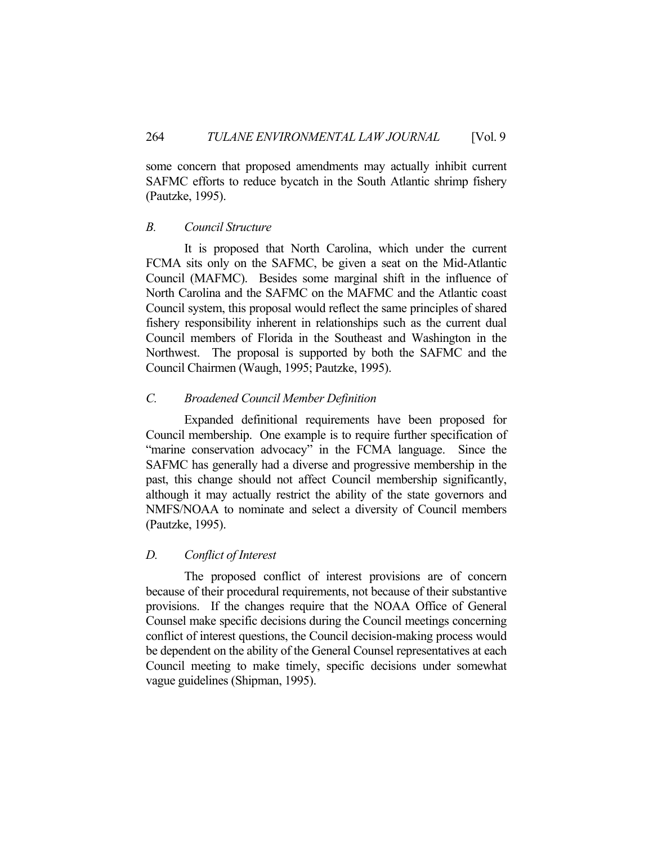some concern that proposed amendments may actually inhibit current SAFMC efforts to reduce bycatch in the South Atlantic shrimp fishery (Pautzke, 1995).

## *B. Council Structure*

 It is proposed that North Carolina, which under the current FCMA sits only on the SAFMC, be given a seat on the Mid-Atlantic Council (MAFMC). Besides some marginal shift in the influence of North Carolina and the SAFMC on the MAFMC and the Atlantic coast Council system, this proposal would reflect the same principles of shared fishery responsibility inherent in relationships such as the current dual Council members of Florida in the Southeast and Washington in the Northwest. The proposal is supported by both the SAFMC and the Council Chairmen (Waugh, 1995; Pautzke, 1995).

## *C. Broadened Council Member Definition*

 Expanded definitional requirements have been proposed for Council membership. One example is to require further specification of "marine conservation advocacy" in the FCMA language. Since the SAFMC has generally had a diverse and progressive membership in the past, this change should not affect Council membership significantly, although it may actually restrict the ability of the state governors and NMFS/NOAA to nominate and select a diversity of Council members (Pautzke, 1995).

## *D. Conflict of Interest*

 The proposed conflict of interest provisions are of concern because of their procedural requirements, not because of their substantive provisions. If the changes require that the NOAA Office of General Counsel make specific decisions during the Council meetings concerning conflict of interest questions, the Council decision-making process would be dependent on the ability of the General Counsel representatives at each Council meeting to make timely, specific decisions under somewhat vague guidelines (Shipman, 1995).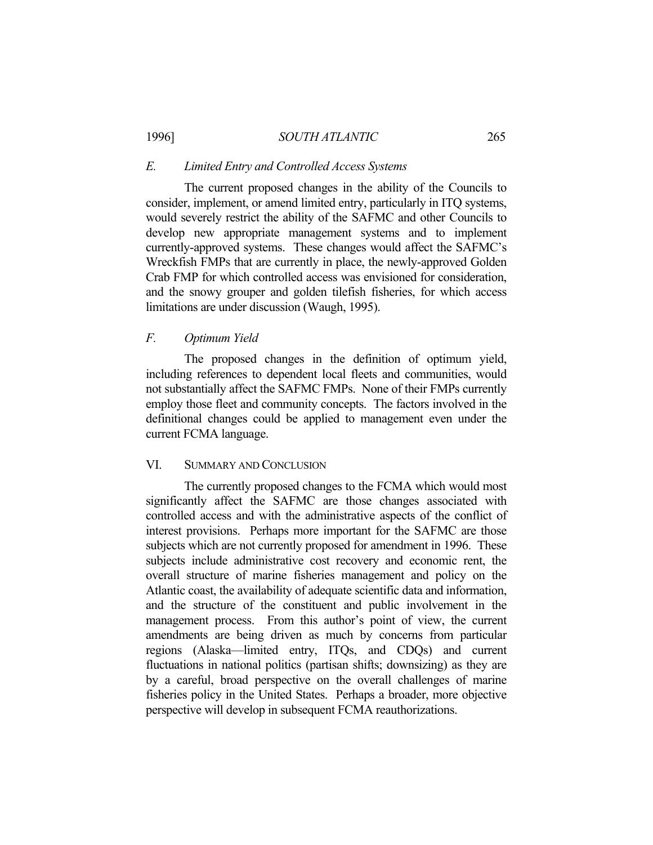## 1996] *SOUTH ATLANTIC* 265

#### *E. Limited Entry and Controlled Access Systems*

 The current proposed changes in the ability of the Councils to consider, implement, or amend limited entry, particularly in ITQ systems, would severely restrict the ability of the SAFMC and other Councils to develop new appropriate management systems and to implement currently-approved systems. These changes would affect the SAFMC's Wreckfish FMPs that are currently in place, the newly-approved Golden Crab FMP for which controlled access was envisioned for consideration, and the snowy grouper and golden tilefish fisheries, for which access limitations are under discussion (Waugh, 1995).

## *F. Optimum Yield*

 The proposed changes in the definition of optimum yield, including references to dependent local fleets and communities, would not substantially affect the SAFMC FMPs. None of their FMPs currently employ those fleet and community concepts. The factors involved in the definitional changes could be applied to management even under the current FCMA language.

## VI. SUMMARY AND CONCLUSION

 The currently proposed changes to the FCMA which would most significantly affect the SAFMC are those changes associated with controlled access and with the administrative aspects of the conflict of interest provisions. Perhaps more important for the SAFMC are those subjects which are not currently proposed for amendment in 1996. These subjects include administrative cost recovery and economic rent, the overall structure of marine fisheries management and policy on the Atlantic coast, the availability of adequate scientific data and information, and the structure of the constituent and public involvement in the management process. From this author's point of view, the current amendments are being driven as much by concerns from particular regions (Alaska—limited entry, ITQs, and CDQs) and current fluctuations in national politics (partisan shifts; downsizing) as they are by a careful, broad perspective on the overall challenges of marine fisheries policy in the United States. Perhaps a broader, more objective perspective will develop in subsequent FCMA reauthorizations.